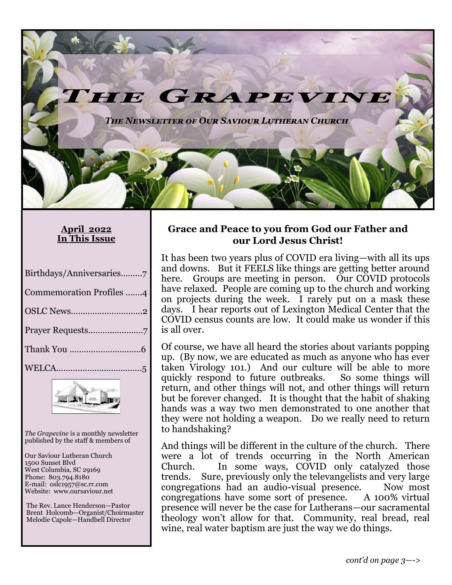*The Newsletter of Our Saviour Lutheran Church*

IE GRAPE!

#### **April 2022 In This Issue**

| Birthdays/Anniversaries7        |
|---------------------------------|
| <b>Commemoration Profiles 4</b> |
|                                 |
|                                 |
|                                 |
|                                 |



*The Grapevine* is a monthly newsletter published by the staff & members of

Our Saviour Lutheran Church 1500 Sunset Blvd West Columbia, SC 29169 Phone: 803.794.8180 E-mail: oslc1957@sc.rr.com Website: www.oursaviour.net

 The Rev. Lance Henderson—Pastor Brent Holcomb—Organist/Choirmaster Melodie Capole—Handbell Director

#### **Grace and Peace to you from God our Father and our Lord Jesus Christ!**

VINI

It has been two years plus of COVID era living—with all its ups and downs. But it FEELS like things are getting better around here. Groups are meeting in person. Our COVID protocols have relaxed. People are coming up to the church and working on projects during the week. I rarely put on a mask these days. I hear reports out of Lexington Medical Center that the COVID census counts are low. It could make us wonder if this is all over.

Of course, we have all heard the stories about variants popping up. (By now, we are educated as much as anyone who has ever taken Virology 101.) And our culture will be able to more quickly respond to future outbreaks. So some things will return, and other things will not, and other things will return but be forever changed. It is thought that the habit of shaking hands was a way two men demonstrated to one another that they were not holding a weapon. Do we really need to return to handshaking?

And things will be different in the culture of the church. There were a lot of trends occurring in the North American Church. In some ways, COVID only catalyzed those trends. Sure, previously only the televangelists and very large congregations had an audio-visual presence. Now most congregations have some sort of presence. presence will never be the case for Lutherans—our sacramental theology won't allow for that. Community, real bread, real wine, real water baptism are just the way we do things.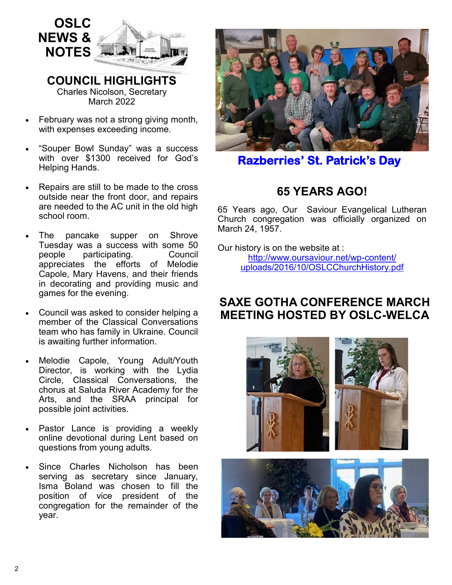

**COUNCIL HIGHLIGHTS**  Charles Nicolson, Secretary March 2022

- February was not a strong giving month, with expenses exceeding income.
- "Souper Bowl Sunday" was a success with over \$1300 received for God's Helping Hands.
- Repairs are still to be made to the cross outside near the front door, and repairs are needed to the AC unit in the old high school room.
- The pancake supper on Shrove Tuesday was a success with some 50 people participating. Council appreciates the efforts of Melodie Capole, Mary Havens, and their friends in decorating and providing music and games for the evening.
- Council was asked to consider helping a member of the Classical Conversations team who has family in Ukraine. Council is awaiting further information.
- Melodie Capole, Young Adult/Youth Director, is working with the Lydia Circle, Classical Conversations, the chorus at Saluda River Academy for the Arts, and the SRAA principal for possible joint activities.
- Pastor Lance is providing a weekly online devotional during Lent based on questions from young adults.
- Since Charles Nicholson has been serving as secretary since January, Isma Boland was chosen to fill the position of vice president of the congregation for the remainder of the year.



**Razberries' St. Patrick's Day** 

# **65 YEARS AGO!**

65 Years ago, Our Saviour Evangelical Lutheran Church congregation was officially organized on March 24, 1957.

Our history is on the website at : [http://www.oursaviour.net/wp](http://www.oursaviour.net/wp-content/uploads/2016/10/OSLCChurchHistory.pdf)-content/ [uploads/2016/10/OSLCChurchHistory.pdf](http://www.oursaviour.net/wp-content/uploads/2016/10/OSLCChurchHistory.pdf)

### **SAXE GOTHA CONFERENCE MARCH MEETING HOSTED BY OSLC-WELCA**



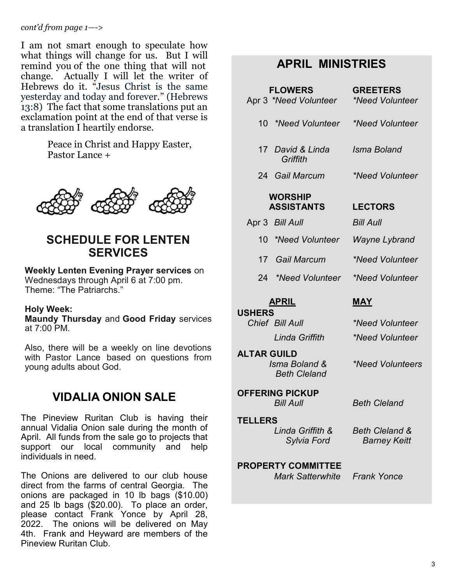*cont'd from page 1—->*

I am not smart enough to speculate how what things will change for us. But I will remind you of the one thing that will not change. Actually I will let the writer of Hebrews do it. "Jesus Christ is the same yesterday and today and forever." (Hebrews 13:8) The fact that some translations put an exclamation point at the end of that verse is a translation I heartily endorse.

> Peace in Christ and Happy Easter, Pastor Lance +



### **SCHEDULE FOR LENTEN SERVICES**

#### **Weekly Lenten Evening Prayer services** on

Wednesdays through April 6 at 7:00 pm. Theme: "The Patriarchs."

#### **Holy Week:**

**Maundy Thursday** and **Good Friday** services at  $7:00$  PM

Also, there will be a weekly on line devotions with Pastor Lance based on questions from young adults about God.

# **VIDALIA ONION SALE**

The Pineview Ruritan Club is having their annual Vidalia Onion sale during the month of April. All funds from the sale go to projects that support our local community and help individuals in need.

The Onions are delivered to our club house direct from the farms of central Georgia. The onions are packaged in 10 lb bags (\$10.00) and 25 lb bags (\$20.00). To place an order, please contact Frank Yonce by April 28, 2022. The onions will be delivered on May 4th. Frank and Heyward are members of the Pineview Ruritan Club.

# **APRIL MINISTRIES**

| <b>FLOWERS</b><br>Apr 3 *Need Volunteer                    | <b>GREETERS</b><br><i>*Need Volunteer</i>        |
|------------------------------------------------------------|--------------------------------------------------|
| 10 *Need Volunteer                                         | *Need Volunteer                                  |
| 17 David & Linda<br>Griffith                               | Isma Boland                                      |
| 24 Gail Marcum                                             | *Need Volunteer                                  |
| <b>WORSHIP</b><br><b>ASSISTANTS</b>                        | <b>LECTORS</b>                                   |
| Apr 3 Bill Aull                                            | Bill Aull                                        |
| 10 *Need Volunteer                                         | Wayne Lybrand                                    |
| 17 Gail Marcum                                             | *Need Volunteer                                  |
| 24 *Need Volunteer                                         | *Need Volunteer                                  |
| <b>APRIL</b>                                               | <b>MAY</b>                                       |
| <b>USHERS</b><br>Chief Bill Aull                           | *Need Volunteer                                  |
| Linda Griffith                                             | *Need Volunteer                                  |
| <b>ALTAR GUILD</b><br>Isma Boland &<br><b>Beth Cleland</b> | <i><b>*Need Volunteers</b></i>                   |
| <b>OFFERING PICKUP</b><br><b>Bill Aull</b>                 | <b>Beth Cleland</b>                              |
| <b>TELLERS</b>                                             |                                                  |
| Linda Griffith &<br>Sylvia Ford                            | <b>Beth Cleland &amp;</b><br><b>Barney Keitt</b> |
| <b>PROPERTY COMMITTEE</b>                                  |                                                  |

 *Mark Satterwhite Frank Yonce*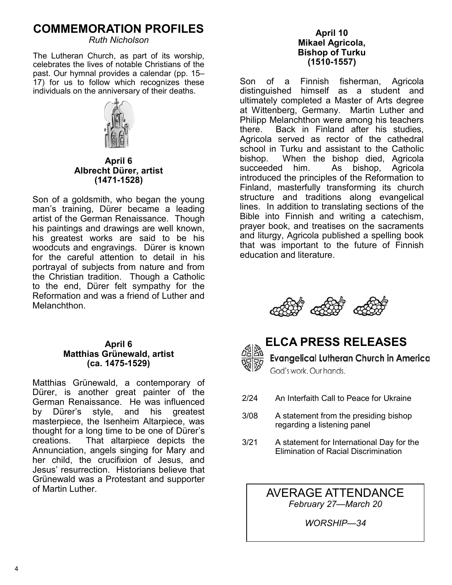## **COMMEMORATION PROFILES**

*Ruth Nicholson*

The Lutheran Church, as part of its worship, celebrates the lives of notable Christians of the past. Our hymnal provides a calendar (pp. 15– 17) for us to follow which recognizes these individuals on the anniversary of their deaths.



**April 6 Albrecht Dürer, artist (1471-1528)**

Son of a goldsmith, who began the young man's training, Dürer became a leading artist of the German Renaissance. Though his paintings and drawings are well known, his greatest works are said to be his woodcuts and engravings. Dürer is known for the careful attention to detail in his portrayal of subjects from nature and from the Christian tradition. Though a Catholic to the end, Dürer felt sympathy for the Reformation and was a friend of Luther and Melanchthon.

#### **April 6 Matthias Grünewald, artist (ca. 1475-1529)**

Matthias Grünewald, a contemporary of Dürer, is another great painter of the German Renaissance. He was influenced by Dürer's style, and his greatest masterpiece, the Isenheim Altarpiece, was thought for a long time to be one of Dürer's creations. That altarpiece depicts the Annunciation, angels singing for Mary and her child, the crucifixion of Jesus, and Jesus' resurrection. Historians believe that Grünewald was a Protestant and supporter of Martin Luther.

#### **April 10 Mikael Agricola, Bishop of Turku (1510-1557)**

Son of a Finnish fisherman, Agricola distinguished himself as a student and ultimately completed a Master of Arts degree at Wittenberg, Germany. Martin Luther and Philipp Melanchthon were among his teachers there. Back in Finland after his studies, Agricola served as rector of the cathedral school in Turku and assistant to the Catholic bishop. When the bishop died, Agricola succeeded him. As bishop, Agricola introduced the principles of the Reformation to Finland, masterfully transforming its church structure and traditions along evangelical lines. In addition to translating sections of the Bible into Finnish and writing a catechism, prayer book, and treatises on the sacraments and liturgy, Agricola published a spelling book that was important to the future of Finnish education and literature.





# **ELCA PRESS RELEASES**

**Evangelical Lutheran Church in America** God's work, Our hands.

- 2/24 An Interfaith Call to Peace for Ukraine
- 3/08 A statement from the presiding bishop regarding a listening panel
- 3/21 A statement for International Day for the Elimination of Racial Discrimination

AVERAGE ATTENDANCE *February 27—March 20*

*WORSHIP—34*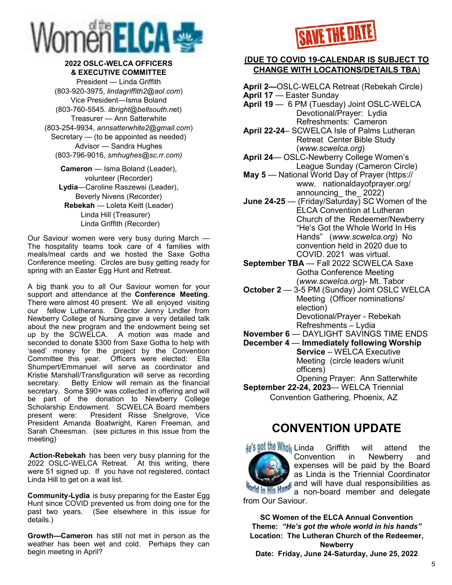

#### **2022 OSLC-WELCA OFFICERS & EXECUTIVE COMMITTEE**

President — Linda Griffith (803-920-3975, *lindagriffith2@aol.com*) Vice President—Isma Boland (803-760-5545. *ilbright@bellsouth.n*et) Treasurer — Ann Satterwhite (803-254-9934, *annsatterwhite2@gmail.com*) Secretary — (to be appointed as needed) Advisor — Sandra Hughes (803-796-9016, *smhughes@sc.rr.com)*

**Cameron** — Isma Boland (Leader), volunteer (Recorder) **Lydia**—Caroline Raszewsi (Leader), Beverly Nivens (Recorder) **Rebekah** — Loleta Keitt (Leader) Linda Hill (Treasurer) Linda Griffith (Recorder)

Our Saviour women were very busy during March — The hospitality teams took care of 4 families with meals/meal cards and we hosted the Saxe Gotha Conference meeting. Circles are busy getting ready for spring with an Easter Egg Hunt and Retreat.

A big thank you to all Our Saviour women for your support and attendance at the **Conference Meeting**. There were almost 40 present. We all enjoyed visiting our fellow Lutherans. Director Jenny Lindler from Newberry College of Nursing gave a very detailed talk about the new program and the endowment being set up by the SCWELCA. A motion was made and seconded to donate \$300 from Saxe Gotha to help with 'seed' money for the project by the Convention Committee this year. Officers were elected: Ella Shumpert/Emmanuel will serve as coordinator and Kristie Marshall/Transfiguration will serve as recording secretary. Betty Enlow will remain as the financial secretary. Some \$90+ was collected in offering and will be part of the donation to Newberry College Scholarship Endowment. SCWELCA Board members present were: President Risse Snelgrove, Vice President Amanda Boatwright, Karen Freeman, and Sarah Cheesman. (see pictures in this issue from the meeting)

**Action-Rebekah** has been very busy planning for the 2022 OSLC-WELCA Retreat. At this writing, there were 51 signed up. If you have not registered, contact Linda Hill to get on a wait list.

**Community-Lydia** is busy preparing for the Easter Egg Hunt since COVID prevented us from doing one for the past two years. (See elsewhere in this issue for details.)

**Growth—Cameron** has still not met in person as the weather has been wet and cold. Perhaps they can begin meeting in April?



#### **(DUE TO COVID 19-CALENDAR IS SUBJECT TO CHANGE WITH LOCATIONS/DETAILS TBA**)

**April 2—**OSLC-WELCA Retreat (Rebekah Circle) **April 17** — Easter Sunday **April 19** — 6 PM (Tuesday) Joint OSLC-WELCA Devotional/Prayer: Lydia Refreshments: Cameron **April 22-24**– SCWELCA Isle of Palms Lutheran Retreat Center Bible Study (*www.scwelca.org*) **April 24**— OSLC-Newberry College Women's League Sunday (Cameron Circle) **May 5** — National World Day of Prayer (https:// www. nationaldayofprayer.org/ announcing\_ the\_ 2022) **June 24-25** — (Friday/Saturday) SC Women of the ELCA Convention at Lutheran Church of the Redeemer/Newberry "He's Got the Whole World In His Hands" (*www.scwelca.org*) No convention held in 2020 due to COVID. 2021 was virtual. **September TBA** — Fall 2022 SCWELCA Saxe Gotha Conference Meeting (*www.scwelca.org*)- Mt. Tabor **October 2** — 3-5 PM (Sunday) Joint OSLC WELCA Meeting (Officer nominations/ election) Devotional/Prayer - Rebekah Refreshments – Lydia

**November 6** — DAYLIGHT SAVINGS TIME ENDS

- **December 4** — **Immediately following Worship Service** – WELCA Executive Meeting (circle leaders w/unit officers)
- Opening Prayer: Ann Satterwhite **September 22-24, 2023**— WELCA Triennial Convention Gathering, Phoenix, AZ

### **CONVENTION UPDATE**

He's got the Whols Linda Griffith will attend the Convention in Newberry and expenses will be paid by the Board as Linda is the Triennial Coordinator and will have dual responsibilities as **Vorld in His Hand!** a non-board member and delegate from Our Saviour.

**SC Women of the ELCA Annual Convention Theme:** *"He's got the whole world in his hands"* **Location: The Lutheran Church of the Redeemer, Newberry**

**Date: Friday, June 24-Saturday, June 25, 2022**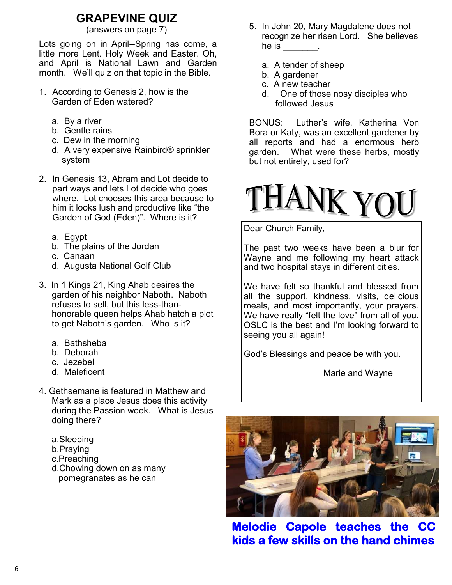# **GRAPEVINE QUIZ**<br>(answers on page 7)

Lots going on in April--Spring has come, a little more Lent. Holy Week and Easter. Oh, and April is National Lawn and Garden month. We'll quiz on that topic in the Bible.

- 1. According to Genesis 2, how is the Garden of Eden watered?
	- a. By a river
	- b. Gentle rains
	- c. Dew in the morning
	- d. A very expensive Rainbird® sprinkler system
- 2. In Genesis 13, Abram and Lot decide to part ways and lets Lot decide who goes where. Lot chooses this area because to him it looks lush and productive like "the Garden of God (Eden)". Where is it?
	- a. Egypt
	- b. The plains of the Jordan
	- c. Canaan
	- d. Augusta National Golf Club
- 3. In 1 Kings 21, King Ahab desires the garden of his neighbor Naboth. Naboth refuses to sell, but this less-thanhonorable queen helps Ahab hatch a plot to get Naboth's garden. Who is it?
	- a. Bathsheba
	- b. Deborah
	- c. Jezebel
	- d. Maleficent
- 4. Gethsemane is featured in Matthew and Mark as a place Jesus does this activity during the Passion week. What is Jesus doing there?
	- a.Sleeping
	- b.Praying
	- c.Preaching
	- d.Chowing down on as many pomegranates as he can
- 5. In John 20, Mary Magdalene does not recognize her risen Lord. She believes he is  $\frac{1}{\sqrt{2}}$ 
	- a. A tender of sheep
	- b. A gardener
	- c. A new teacher
	- d. One of those nosy disciples who followed Jesus

BONUS: Luther's wife, Katherina Von Bora or Katy, was an excellent gardener by all reports and had a enormous herb garden. What were these herbs, mostly but not entirely, used for?



Dear Church Family,

The past two weeks have been a blur for Wayne and me following my heart attack and two hospital stays in different cities.

We have felt so thankful and blessed from all the support, kindness, visits, delicious meals, and most importantly, your prayers. We have really "felt the love" from all of you. OSLC is the best and I'm looking forward to seeing you all again!

God's Blessings and peace be with you.

Marie and Wayne



**Melodie Capole teaches the CC kids a few skills on the hand chimes**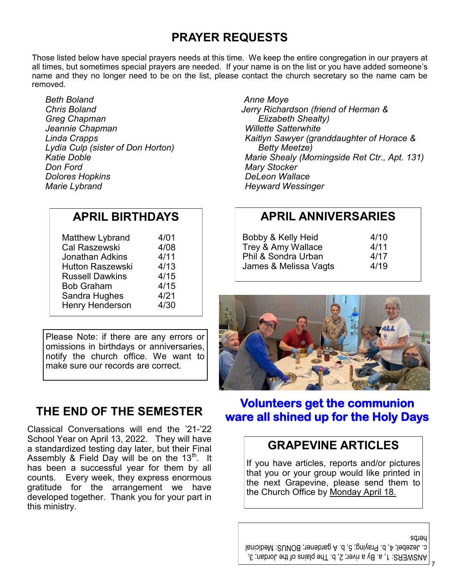# **PRAYER REQUESTS**

Those listed below have special prayers needs at this time. We keep the entire congregation in our prayers at all times, but sometimes special prayers are needed. If your name is on the list or you have added someone's name and they no longer need to be on the list, please contact the church secretary so the name cam be removed.

*Beth Boland Chris Boland Greg Chapman Jeannie Chapman Linda Crapps Lydia Culp (sister of Don Horton) Katie Doble Don Ford Dolores Hopkins Marie Lybrand*

### **APRIL BIRTHDAYS**

| Matthew Lybrand         | 4/01 |
|-------------------------|------|
| Cal Raszewski           | 4/08 |
| Jonathan Adkins         | 4/11 |
| <b>Hutton Raszewski</b> | 4/13 |
| <b>Russell Dawkins</b>  | 4/15 |
| <b>Bob Graham</b>       | 4/15 |
| Sandra Hughes           | 4/21 |
| <b>Henry Henderson</b>  | 4/30 |

Please Note: if there are any errors or omissions in birthdays or anniversaries, notify the church office. We want to make sure our records are correct.

# **THE END OF THE SEMESTER**

Classical Conversations will end the '21-'22 School Year on April 13, 2022. They will have a standardized testing day later, but their Final Assembly & Field Day will be on the  $13<sup>th</sup>$ . It has been a successful year for them by all counts. Every week, they express enormous gratitude for the arrangement we have developed together. Thank you for your part in this ministry.

 *Anne Moye Jerry Richardson (friend of Herman & Elizabeth Shealty) Willette Satterwhite Kaitlyn Sawyer (granddaughter of Horace & Betty Meetze) Marie Shealy (Morningside Ret Ctr., Apt. 131) Mary Stocker DeLeon Wallace Heyward Wessinger*

### **APRIL ANNIVERSARIES**

| Bobby & Kelly Heid    | 4/10 |
|-----------------------|------|
| Trey & Amy Wallace    | 4/11 |
| Phil & Sondra Urban   | 4/17 |
| James & Melissa Vagts | 4/19 |



# **Volunteers get the communion ware all shined up for the Holy Days**

### **GRAPEVINE ARTICLES**

If you have articles, reports and/or pictures that you or your group would like printed in the next Grapevine, please send them to the Church Office by Monday April 18.